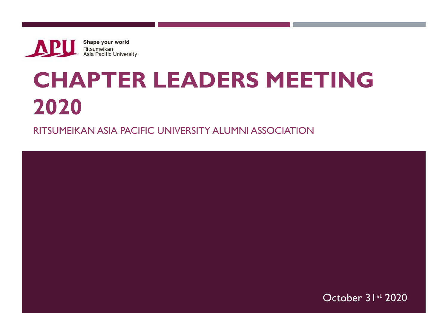Shape your world **APU Ritsumeikan<br>Asia Pacific University** 

## **CHAPTER LEADERS MEETING 2020**

RITSUMEIKAN ASIA PACIFIC UNIVERSITY ALUMNI ASSOCIATION

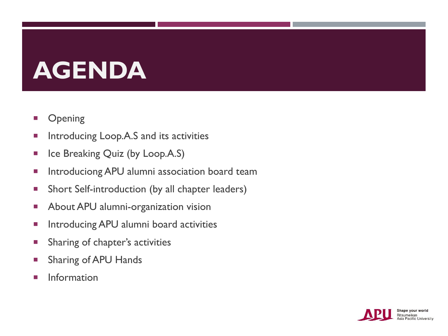# **AGENDA**

- **Dening**
- **Introducing Loop.A.S and its activities**
- Ice Breaking Quiz (by Loop.A.S)
- **Introduciong APU alumni association board team**
- **Short Self-introduction (by all chapter leaders)**
- **About APU alumni-organization vision**
- **Introducing APU alumni board activities**
- **Sharing of chapter's activities**
- **Sharing of APU Hands**
- Information

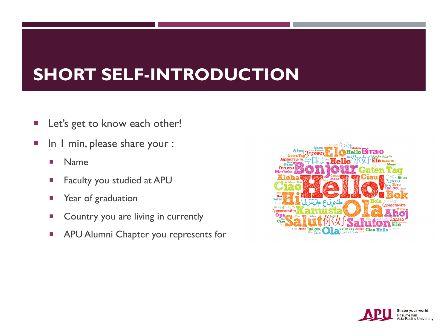### **SHORT SELF-INTRODUCTION**

- **Let's get to know each other!**
- In I min, please share your :
	- **Name**
	- **Faculty you studied at APU**
	- **Parace 12 Year of graduation**
	- **Country you are living in currently**
	- **APU Alumni Chapter you represents for**



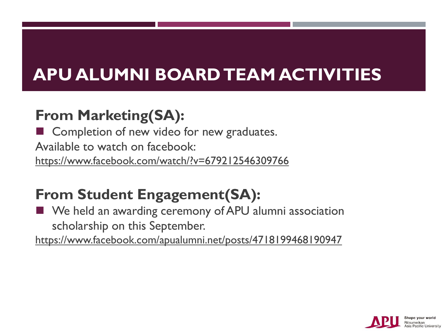#### **From Marketing(SA):**

Completion of new video for new graduates. Available to watch on facebook: <https://www.facebook.com/watch/?v=679212546309766>

#### **From Student Engagement(SA):**

■ We held an awarding ceremony of APU alumni association scholarship on this September.

<https://www.facebook.com/apualumni.net/posts/4718199468190947>

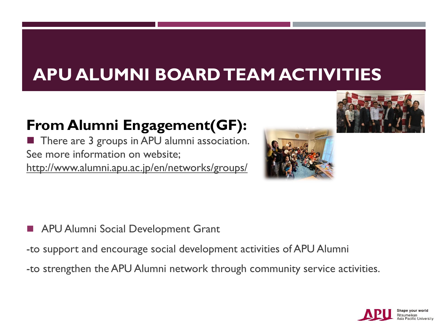#### **From Alumni Engagement(GF):**

■ There are 3 groups in APU alumni association. See more information on website; <http://www.alumni.apu.ac.jp/en/networks/groups/>





- APU Alumni Social Development Grant
- -to support and encourage social development activities of APU Alumni
- -to strengthen the APU Alumni network through community service activities.

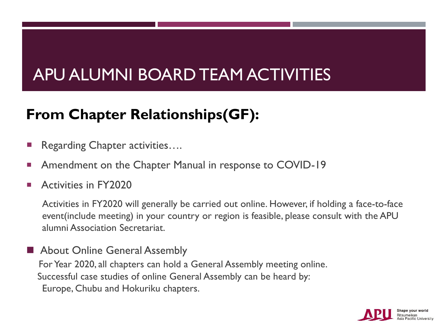#### **From Chapter Relationships(GF):**

- Regarding Chapter activities….
- Amendment on the Chapter Manual in response to COVID-19
- Activities in FY2020

Activities in FY2020 will generally be carried out online. However, if holding a face-to-face event(include meeting) in your country or region is feasible, please consult with the APU alumni Association Secretariat.

■ About Online General Assembly For Year 2020, all chapters can hold a General Assembly meeting online. Successful case studies of online General Assembly can be heard by: Europe, Chubu and Hokuriku chapters.

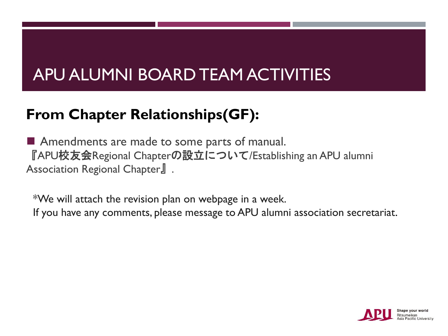#### **From Chapter Relationships(GF):**

■ Amendments are made to some parts of manual. 『APU校友会Regional Chapterの設立について/Establishing an APU alumni Association Regional Chapter』.

\*We will attach the revision plan on webpage in a week. If you have any comments, please message to APU alumni association secretariat.

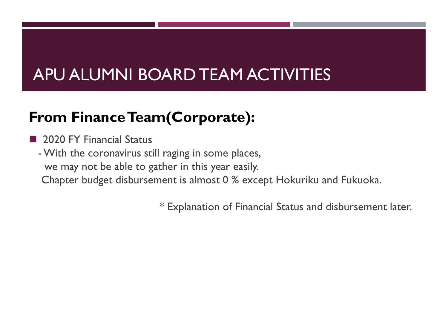#### **From Finance Team(Corporate):**

- 2020 FY Financial Status
- -With the coronavirus still raging in some places, we may not be able to gather in this year easily.
	- Chapter budget disbursement is almost 0 % except Hokuriku and Fukuoka.

\* Explanation of Financial Status and disbursement later.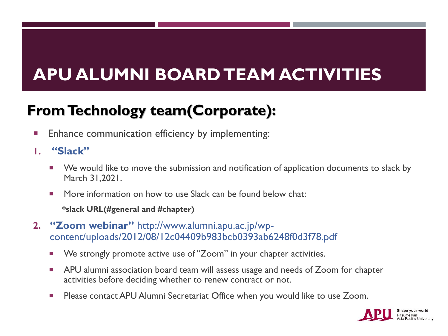#### **From Technology team(Corporate):**

- **Enhance communication efficiency by implementing:**
- **1. "Slack"** 
	- We would like to move the submission and notification of application documents to slack by March 31,2021.
	- **More information on how to use Slack can be found below chat:** 
		- **\*slack URL(#general and #chapter)**
- **2. "Zoom webinar"** http://www.alumni.apu.ac.jp/wpcontent/uploads/2012/08/12c04409b983bcb0393ab6248f0d3f78.pdf
	- We strongly promote active use of "Zoom" in your chapter activities.
	- **APU** alumni association board team will assess usage and needs of Zoom for chapter activities before deciding whether to renew contract or not.
	- **Please contact APU Alumni Secretariat Office when you would like to use Zoom.**

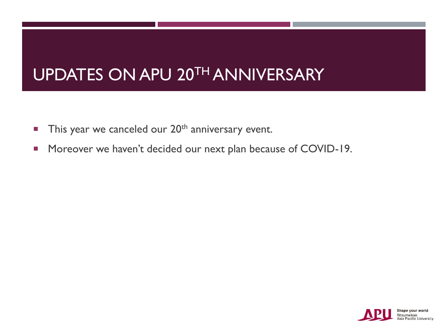#### UPDATES ON APU 20TH ANNIVERSARY

- This year we canceled our  $20<sup>th</sup>$  anniversary event.
- **Moreover we haven't decided our next plan because of COVID-19.**